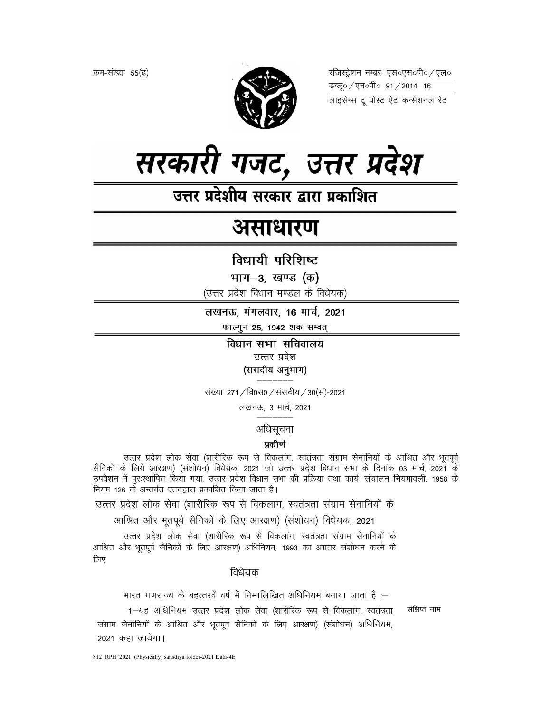क्रम-संख्या–55(ढ)



रजिस्ट्रेशन नम्बर–एस०एस०पी० ⁄ एल० लाइसेन्स टू पोस्ट ऐट कन्सेशनल रेट



उत्तर प्रदेशीय सरकार द्वारा प्रकाशित

# असाधारण

विधायी परिशिष्ट

भाग-3, खण्ड (क)

(उत्तर प्रदेश विधान मण्डल के विधेयक)

लखनऊ, मंगलवार, 16 मार्च, 2021

फाल्गुन 25, 1942 शक सम्वत्

विधान सभा सचिवालय उत्तर प्रदेश (संसदीय अनुभाग)

संख्या 271 / वि0स0 / संसदीय / 30 (सं)-2021

लखनऊ, 3 मार्च, 2021

अधिसूचना

## प्रकीर्ण

उत्तर प्रदेश लोक सेवा (शारीरिक रूप से विकलांग, स्वतंत्रता संग्राम सेनानियों के आश्रित और भूतपूर्व सैनिकों के लिये आरक्षण) (संशोधन) विधेयक, 2021 जो उत्तर प्रदेश विधान सभा के दिनांक 03 मार्च, 2021 के उपवेशन में पुरःस्थापित किया गया, उत्तर प्रदेश विधान सभा की प्रक्रिया तथा कार्य–संचालन नियमावली, 1958 के नियम 126 के अन्तर्गत एतद्द्वारा प्रकाशित किया जाता है।

उत्तर प्रदेश लोक सेवा (शारीरिक रूप से विकलांग, स्वतंत्रता संग्राम सेनानियों के

आश्रित और भूतपूर्व सैनिकों के लिए आरक्षण) (संशोधन) विधेयक, 2021

उत्तर प्रदेश लोक सेवा (शारीरिक रूप से विकलांग, स्वतंत्रता संग्राम सेनानियों के आश्रित और भूतपूर्व सैनिकों के लिए आरक्षण) अधिनियम, 1993 का अग्रतर संशोधन करने के लिए

विधेयक

भारत गणराज्य के बहत्तरवें वर्ष में निम्नलिखित अधिनियम बनाया जाता है :-

1–यह अधिनियम उत्तर प्रदेश लोक सेवा (शारीरिक रूप से विकलांग, स्वतंत्रता संग्राम सेनानियों के आश्रित और भूतपूर्व सैनिकों के लिए आरक्षण) (संशोधन) अधिनियम, 2021 कहा जायेगा।

संक्षिप्त नाम

812 RPH 2021 (Physically) sansdiya folder-2021 Data-4E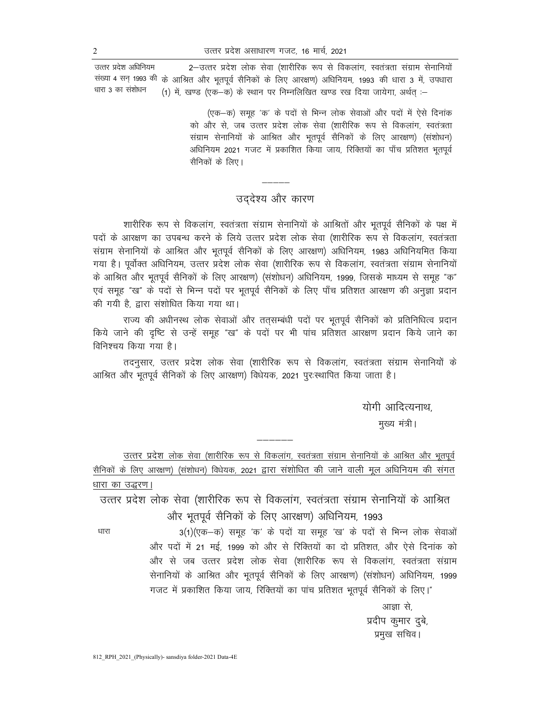2-उत्तर प्रदेश लोक सेवा (शारीरिक रूप से विकलांग, स्वतंत्रता संग्राम सेनानियों उत्तर प्रदेश अधिनियम संख्या 4 सन् 1993 की के आश्रित और भूतपूर्व सैनिकों के लिए आरक्षण) अधिनियम, 1993 की धारा 3 में, उपधारा धारा 3 का संशोधन (1) में, खण्ड (एक-क) के स्थान पर निम्नलिखित खण्ड रख दिया जायेगा, अर्थत :-

> (एक–क) समूह 'क' के पदों से भिन्न लोक सेवाओं और पदों में ऐसे दिनांक को और से, जब उत्तर प्रदेश लोक सेवा (शारीरिक रूप से विकलांग, स्वतंत्रता संग्राम सेनानियों के आश्रित और भूतपूर्व सैनिकों के लिए आरक्षण) (संशोधन) अधिनियम 2021 गजट में प्रकाशित किया जाय, रिक्तियों का पाँच प्रतिशत भूतपूर्व सैनिकों के लिए।

# उददेश्य और कारण

शारीरिक रूप से विकलांग, स्वतंत्रता संग्राम सेनानियों के आश्रितों और भूतपूर्व सैनिकों के पक्ष में पदों के आरक्षण का उपबन्ध करने के लिये उत्तर प्रदेश लोक सेवा (शारीरिक रूप से विकलांग, स्वतंत्रता संग्राम सेनानियों के आश्रित और भूतपूर्व सैनिकों के लिए आरक्षण) अधिनियम, 1983 अधिनियमित किया गया है। पूर्वोक्त अधिनियम, उत्तर प्रदेश लोक सेवा (शारीरिक रूप से विकलांग, स्वतंत्रता संग्राम सेनानियों के आश्रित और भूतपूर्व सैनिकों के लिए आरक्षण) (संशोधन) अधिनियम, 1999, जिसके माध्यम से समूह "क" एवं समूह "ख" के पदों से भिन्न पदों पर भूतपूर्व सैनिकों के लिए पाँच प्रतिशत आरक्षण की अनुज्ञा प्रदान की गयी है. द्वारा संशोधित किया गया था।

राज्य की अधीनस्थ लोक सेवाओं और तत़सम्बंधी पदों पर भूतपूर्व सैनिकों को प्रतिनिधित्व प्रदान किये जाने की दृष्टि से उन्हें समूह "ख" के पदों पर भी पांच प्रतिशत आरक्षण प्रदान किये जाने का विनिश्चय किया गया है।

तदनुसार, उत्तर प्रदेश लोक सेवा (शारीरिक रूप से विकलांग, स्वतंत्रता संग्राम सेनानियों के आश्रित और भूतपूर्व सैनिकों के लिए आरक्षण) विधेयक, 2021 पुरःस्थापित किया जाता है।

योगी आदित्यनाथ.

मुख्य मंत्री।

उत्तर प्रदेश लोक सेवा (शारीरिक रूप से विकलांग, स्वतंत्रता संग्राम सेनानियों के आश्रित और भूतपूर्व सैनिकों के लिए आरक्षण) (संशोधन) विधेयक, 2021 द्वारा संशोधित की जाने वाली मूल अधिनियम की संगत धारा का उद्धरण।

उत्तर प्रदेश लोक सेवा (शारीरिक रूप से विकलांग, स्वतंत्रता संग्राम सेनानियों के आश्रित और भूतपूर्व सैनिकों के लिए आरक्षण) अधिनियम, 1993

धारा

3(1) (एक-क) समूह 'क' के पदों या समूह 'ख' के पदों से भिन्न लोक सेवाओं और पदों में 21 मई, 1999 को और से रिक्तियों का दो प्रतिशत, और ऐसे दिनांक को और से जब उत्तर प्रदेश लोक सेवा (शारीरिक रूप से विकलांग, स्वतंत्रता संग्राम सेनानियों के आश्रित और भूतपूर्व सैनिकों के लिए आरक्षण) (संशोधन) अधिनियम, 1999 गजट में प्रकाशित किया जाय, रिक्तियों का पांच प्रतिशत भूतपूर्व सैनिकों के लिए।"

> आज्ञा से, प्रदीप कुमार दुबे, प्रमुख सचिव।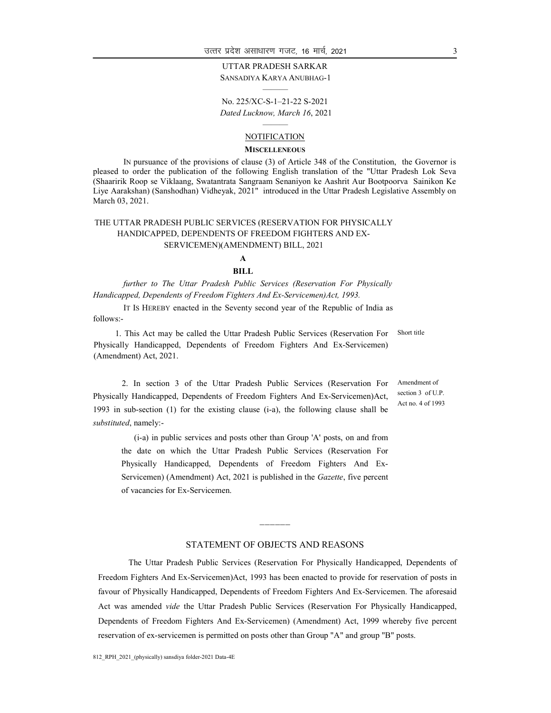## UTTAR PRADESH SARKAR

SANSADIYA KARYA ANUBHAG-1 ———

No. 225/XC-S-1–21-22 S-2021 Dated Lucknow, March 16, 2021

#### ——— **NOTIFICATION**

#### **MISCELLENEOUS**

IN pursuance of the provisions of clause (3) of Article 348 of the Constitution, the Governor is pleased to order the publication of the following English translation of the "Uttar Pradesh Lok Seva (Shaaririk Roop se Viklaang, Swatantrata Sangraam Senaniyon ke Aashrit Aur Bootpoorva Sainikon Ke Liye Aarakshan) (Sanshodhan) Vidheyak, 2021" introduced in the Uttar Pradesh Legislative Assembly on March 03, 2021.

#### THE UTTAR PRADESH PUBLIC SERVICES (RESERVATION FOR PHYSICALLY HANDICAPPED, DEPENDENTS OF FREEDOM FIGHTERS AND EX-SERVICEMEN)(AMENDMENT) BILL, 2021

## A

#### BILL

further to The Uttar Pradesh Public Services (Reservation For Physically Handicapped, Dependents of Freedom Fighters And Ex-Servicemen)Act, 1993.

IT IS HEREBY enacted in the Seventy second year of the Republic of India as follows:-

1. This Act may be called the Uttar Pradesh Public Services (Reservation For Physically Handicapped, Dependents of Freedom Fighters And Ex-Servicemen) (Amendment) Act, 2021. Short title

2. In section 3 of the Uttar Pradesh Public Services (Reservation For Physically Handicapped, Dependents of Freedom Fighters And Ex-Servicemen)Act, 1993 in sub-section (1) for the existing clause (i-a), the following clause shall be substituted, namely:-

 (i-a) in public services and posts other than Group 'A' posts, on and from the date on which the Uttar Pradesh Public Services (Reservation For Physically Handicapped, Dependents of Freedom Fighters And Ex-Servicemen) (Amendment) Act, 2021 is published in the Gazette, five percent of vacancies for Ex-Servicemen.

#### Amendment of section 3 of U.P. Act no. 4 of 1993

#### STATEMENT OF OBJECTS AND REASONS

&&&&&&

The Uttar Pradesh Public Services (Reservation For Physically Handicapped, Dependents of Freedom Fighters And Ex-Servicemen)Act, 1993 has been enacted to provide for reservation of posts in favour of Physically Handicapped, Dependents of Freedom Fighters And Ex-Servicemen. The aforesaid Act was amended vide the Uttar Pradesh Public Services (Reservation For Physically Handicapped, Dependents of Freedom Fighters And Ex-Servicemen) (Amendment) Act, 1999 whereby five percent reservation of ex-servicemen is permitted on posts other than Group "A" and group "B" posts.